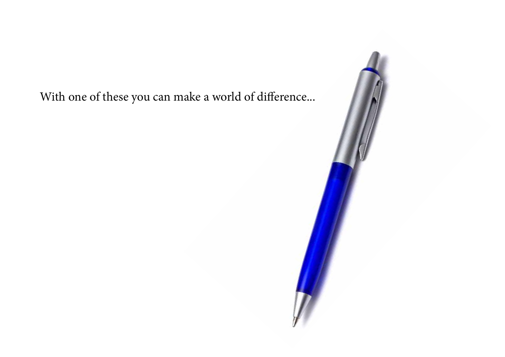With one of these you can make a world of difference...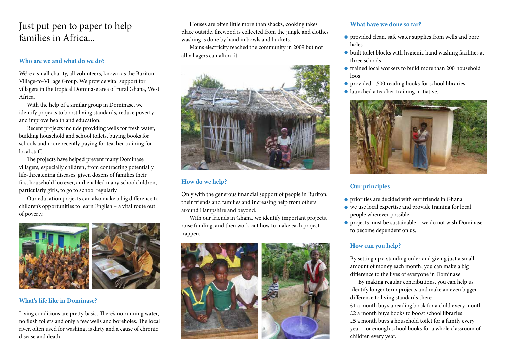Just put pen to paper to help families in Africa...

#### **Who are we and what do we do?**

We're a small charity, all volunteers, known as the Buriton Village-to-Village Group. We provide vital support for villagers in the tropical Dominase area of rural Ghana, West Africa.

 With the help of a similar group in Dominase, we identify projects to boost living standards, reduce poverty and improve health and education.

 Recent projects include providing wells for fresh water, building household and school toilets, buying books for schools and more recently paying for teacher training for local staff.

 The projects have helped prevent many Dominase villagers, especially children, from contracting potentially life-threatening diseases, given dozens of families their first household loo ever, and enabled many schoolchildren, particularly girls, to go to school regularly.

 Our education projects can also make a big difference to children's opportunities to learn English – a vital route out of poverty.



#### **What's life like in Dominase?**

Living conditions are pretty basic. There's no running water, no flush toilets and only a few wells and boreholes. The local river, often used for washing, is dirty and a cause of chronic disease and death.

 Houses are often little more than shacks, cooking takes place outside, firewood is collected from the jungle and clothes washing is done by hand in bowls and buckets.

 Mains electricity reached the community in 2009 but not all villagers can afford it.



#### **How do we help?**

Only with the generous financial support of people in Buriton, their friends and families and increasing help from others around Hampshire and beyond.

 With our friends in Ghana, we identify important projects, raise funding, and then work out how to make each project happen.



# **What have we done so far?**

- provided clean, safe water supplies from wells and bore **•** holes
- $\bullet$  built toilet blocks with hygienic hand washing facilities at three schools
- trained local workers to build more than 200 household **•** loos
- provided 1,500 reading books for school libraries **•**
- launched a teacher-training initiative. **•**



# **Our principles**

- priorities are decided with our friends in Ghana **•**
- we use local expertise and provide training for local people wherever possible
- projects must be sustainable we do not wish Dominase to become dependent on us.

# **How can you help?**

By setting up a standing order and giving just a small amount of money each month, you can make a big difference to the lives of everyone in Dominase.

 By making regular contributions, you can help us identify longer term projects and make an even bigger difference to living standards there.

£1 a month buys a reading book for a child every month £2 a month buys books to boost school libraries £5 a month buys a household toilet for a family every year – or enough school books for a whole classroom of children every year.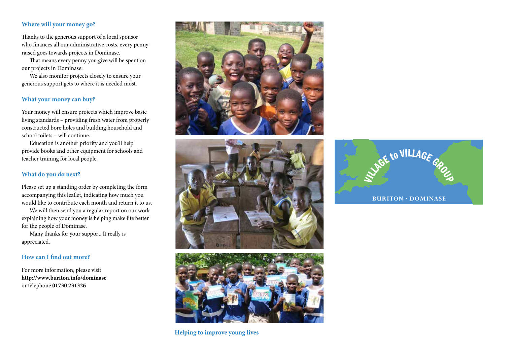### **Where will your money go?**

Thanks to the generous support of a local sponsor who finances all our administrative costs, every penny raised goes towards projects in Dominase.

 That means every penny you give will be spent on our projects in Dominase.

 We also monitor projects closely to ensure your generous support gets to where it is needed most.

# **What your money can buy?**

Your money will ensure projects which improve basic living standards – providing fresh water from properly constructed bore holes and building household and school toilets – will continue.

 Education is another priority and you'll help provide books and other equipment for schools and teacher training for local people.

# **What do you do next?**

Please set up a standing order by completing the form accompanying this leaflet, indicating how much you would like to contribute each month and return it to us.

 We will then send you a regular report on our work explaining how your money is helping make life better for the people of Dominase.

 Many thanks for your support. It really is appreciated.

# **How can I find out more?**

For more information, please visit **http://www.buriton.info/dominase** or telephone **01730 231326**







**Helping to improve young lives**